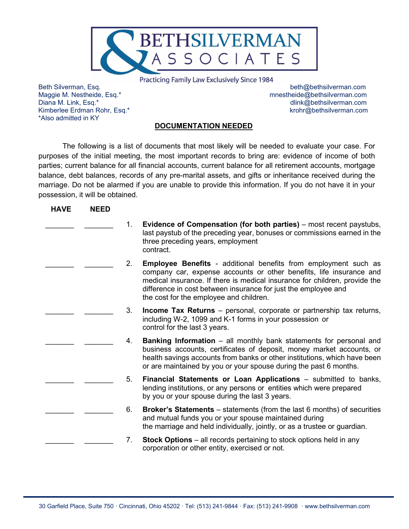

**Practicing Family Law Exclusively Since 1984** 

\*Also admitted in KY

Beth Silverman, Esq. beth@bethsilverman.com Maggie M. Nestheide, Esq.\* mnestheide@bethsilverman.com dlink@bethsilverman.com Kimberlee Erdman Rohr, Esq.\* by a state of the state of the state of the state of the state of the state of the state of the state of the state of the state of the state of the state of the state of the state of the state

## **DOCUMENTATION NEEDED**

The following is a list of documents that most likely will be needed to evaluate your case. For purposes of the initial meeting, the most important records to bring are: evidence of income of both parties; current balance for all financial accounts, current balance for all retirement accounts, mortgage balance, debt balances, records of any pre-marital assets, and gifts or inheritance received during the marriage. Do not be alarmed if you are unable to provide this information. If you do not have it in your possession, it will be obtained.

| <b>HAVE</b> | <b>NEED</b> |                                                                                                                                                                                                                                                                                                                                          |  |
|-------------|-------------|------------------------------------------------------------------------------------------------------------------------------------------------------------------------------------------------------------------------------------------------------------------------------------------------------------------------------------------|--|
|             |             | <b>Evidence of Compensation (for both parties)</b> – most recent paystubs,<br>last paystub of the preceding year, bonuses or commissions earned in the<br>three preceding years, employment<br>contract.                                                                                                                                 |  |
|             |             | <b>Employee Benefits - additional benefits from employment such as</b><br>company car, expense accounts or other benefits, life insurance and<br>medical insurance. If there is medical insurance for children, provide the<br>difference in cost between insurance for just the employee and<br>the cost for the employee and children. |  |
|             |             | <b>Income Tax Returns</b> – personal, corporate or partnership tax returns,<br>including W-2, 1099 and K-1 forms in your possession or<br>control for the last 3 years.                                                                                                                                                                  |  |
|             |             | <b>Banking Information</b> – all monthly bank statements for personal and<br>business accounts, certificates of deposit, money market accounts, or<br>health savings accounts from banks or other institutions, which have been<br>or are maintained by you or your spouse during the past 6 months.                                     |  |
|             |             | Financial Statements or Loan Applications - submitted to banks,<br>lending institutions, or any persons or entities which were prepared<br>by you or your spouse during the last 3 years.                                                                                                                                                |  |
|             |             | <b>Broker's Statements</b> $-$ statements (from the last 6 months) of securities<br>and mutual funds you or your spouse maintained during<br>the marriage and held individually, jointly, or as a trustee or guardian.                                                                                                                   |  |
|             |             | <b>Stock Options</b> – all records pertaining to stock options held in any<br>corporation or other entity, exercised or not.                                                                                                                                                                                                             |  |